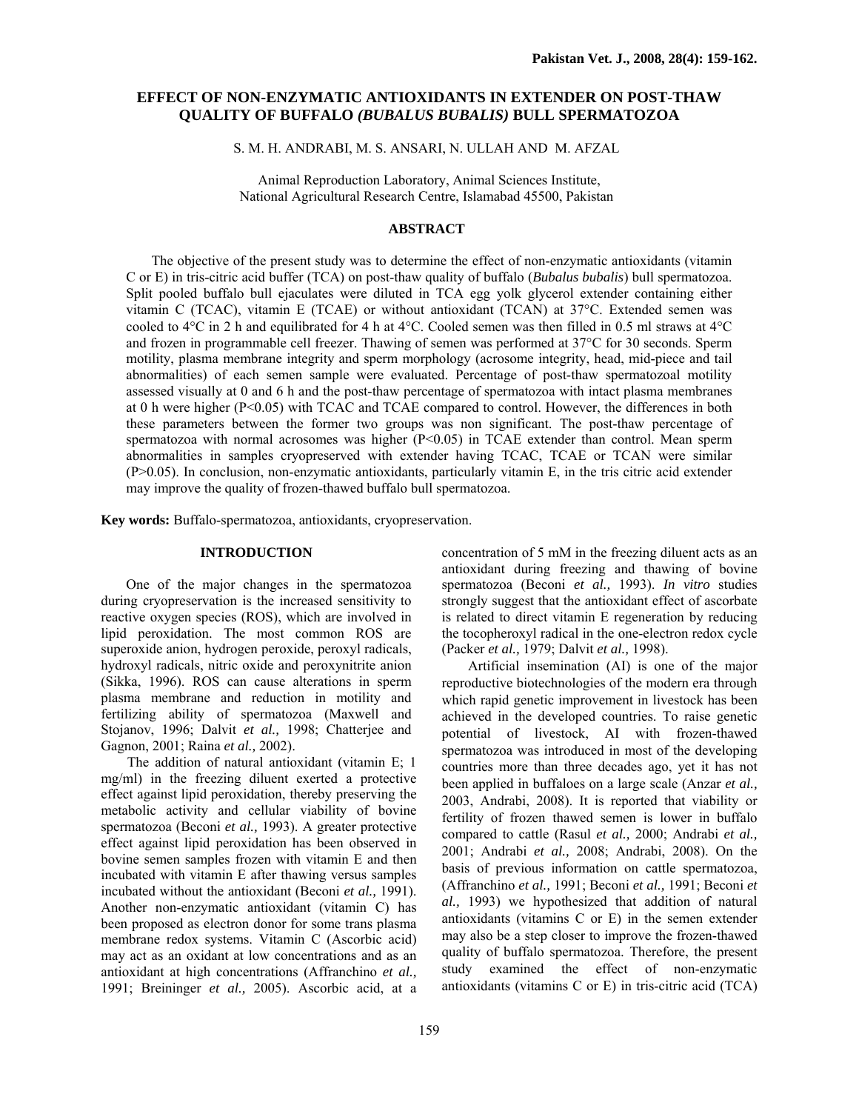# **EFFECT OF NON-ENZYMATIC ANTIOXIDANTS IN EXTENDER ON POST-THAW QUALITY OF BUFFALO** *(BUBALUS BUBALIS)* **BULL SPERMATOZOA**

S. M. H. ANDRABI, M. S. ANSARI, N. ULLAH AND M. AFZAL

Animal Reproduction Laboratory, Animal Sciences Institute, National Agricultural Research Centre, Islamabad 45500, Pakistan

#### **ABSTRACT**

The objective of the present study was to determine the effect of non-enzymatic antioxidants (vitamin C or E) in tris-citric acid buffer (TCA) on post-thaw quality of buffalo (*Bubalus bubalis*) bull spermatozoa. Split pooled buffalo bull ejaculates were diluted in TCA egg yolk glycerol extender containing either vitamin C (TCAC), vitamin E (TCAE) or without antioxidant (TCAN) at 37°C. Extended semen was cooled to  $4^{\circ}$ C in 2 h and equilibrated for 4 h at  $4^{\circ}$ C. Cooled semen was then filled in 0.5 ml straws at  $4^{\circ}$ C and frozen in programmable cell freezer. Thawing of semen was performed at 37°C for 30 seconds. Sperm motility, plasma membrane integrity and sperm morphology (acrosome integrity, head, mid-piece and tail abnormalities) of each semen sample were evaluated. Percentage of post-thaw spermatozoal motility assessed visually at 0 and 6 h and the post-thaw percentage of spermatozoa with intact plasma membranes at 0 h were higher (P<0.05) with TCAC and TCAE compared to control. However, the differences in both these parameters between the former two groups was non significant. The post-thaw percentage of spermatozoa with normal acrosomes was higher  $(P<0.05)$  in TCAE extender than control. Mean sperm abnormalities in samples cryopreserved with extender having TCAC, TCAE or TCAN were similar (P>0.05). In conclusion, non-enzymatic antioxidants, particularly vitamin E, in the tris citric acid extender may improve the quality of frozen-thawed buffalo bull spermatozoa.

**Key words:** Buffalo-spermatozoa, antioxidants, cryopreservation.

# **INTRODUCTION**

One of the major changes in the spermatozoa during cryopreservation is the increased sensitivity to reactive oxygen species (ROS), which are involved in lipid peroxidation. The most common ROS are superoxide anion, hydrogen peroxide, peroxyl radicals, hydroxyl radicals, nitric oxide and peroxynitrite anion (Sikka, 1996). ROS can cause alterations in sperm plasma membrane and reduction in motility and fertilizing ability of spermatozoa (Maxwell and Stojanov, 1996; Dalvit *et al.,* 1998; Chatterjee and Gagnon, 2001; Raina *et al.,* 2002).

The addition of natural antioxidant (vitamin E; 1 mg/ml) in the freezing diluent exerted a protective effect against lipid peroxidation, thereby preserving the metabolic activity and cellular viability of bovine spermatozoa (Beconi *et al.,* 1993). A greater protective effect against lipid peroxidation has been observed in bovine semen samples frozen with vitamin E and then incubated with vitamin E after thawing versus samples incubated without the antioxidant (Beconi *et al.,* 1991). Another non-enzymatic antioxidant (vitamin C) has been proposed as electron donor for some trans plasma membrane redox systems. Vitamin C (Ascorbic acid) may act as an oxidant at low concentrations and as an antioxidant at high concentrations (Affranchino *et al.,* 1991; Breininger *et al.,* 2005). Ascorbic acid, at a

concentration of 5 mM in the freezing diluent acts as an antioxidant during freezing and thawing of bovine spermatozoa (Beconi *et al.,* 1993). *In vitro* studies strongly suggest that the antioxidant effect of ascorbate is related to direct vitamin E regeneration by reducing the tocopheroxyl radical in the one-electron redox cycle (Packer *et al.,* 1979; Dalvit *et al.,* 1998).

Artificial insemination (AI) is one of the major reproductive biotechnologies of the modern era through which rapid genetic improvement in livestock has been achieved in the developed countries. To raise genetic potential of livestock, AI with frozen-thawed spermatozoa was introduced in most of the developing countries more than three decades ago, yet it has not been applied in buffaloes on a large scale (Anzar *et al.,* 2003, Andrabi, 2008). It is reported that viability or fertility of frozen thawed semen is lower in buffalo compared to cattle (Rasul *et al.,* 2000; Andrabi *et al.,* 2001; Andrabi *et al.,* 2008; Andrabi, 2008). On the basis of previous information on cattle spermatozoa, (Affranchino *et al.,* 1991; Beconi *et al.,* 1991; Beconi *et al.,* 1993) we hypothesized that addition of natural antioxidants (vitamins C or E) in the semen extender may also be a step closer to improve the frozen-thawed quality of buffalo spermatozoa. Therefore, the present study examined the effect of non-enzymatic antioxidants (vitamins C or E) in tris-citric acid (TCA)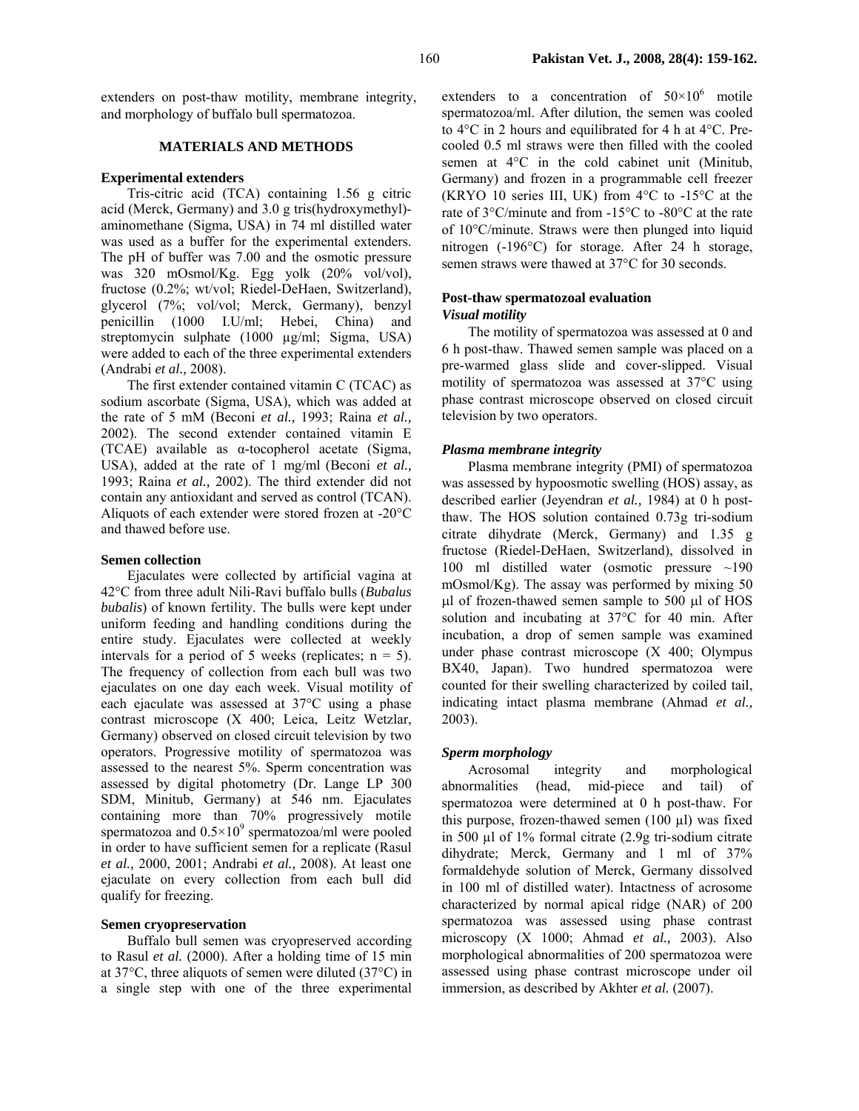extenders on post-thaw motility, membrane integrity, and morphology of buffalo bull spermatozoa.

# **MATERIALS AND METHODS**

### **Experimental extenders**

Tris-citric acid (TCA) containing 1.56 g citric acid (Merck, Germany) and 3.0 g tris(hydroxymethyl) aminomethane (Sigma, USA) in 74 ml distilled water was used as a buffer for the experimental extenders. The pH of buffer was 7.00 and the osmotic pressure was 320 mOsmol/Kg. Egg yolk (20% vol/vol), fructose (0.2%; wt/vol; Riedel-DeHaen, Switzerland), glycerol (7%; vol/vol; Merck, Germany), benzyl penicillin (1000 I.U/ml; Hebei, China) and streptomycin sulphate (1000 µg/ml; Sigma, USA) were added to each of the three experimental extenders (Andrabi *et al.,* 2008).

The first extender contained vitamin C (TCAC) as sodium ascorbate (Sigma, USA), which was added at the rate of 5 mM (Beconi *et al.,* 1993; Raina *et al.,* 2002). The second extender contained vitamin E (TCAE) available as α-tocopherol acetate (Sigma, USA), added at the rate of 1 mg/ml (Beconi *et al.,* 1993; Raina *et al.,* 2002). The third extender did not contain any antioxidant and served as control (TCAN). Aliquots of each extender were stored frozen at -20°C and thawed before use.

### **Semen collection**

Ejaculates were collected by artificial vagina at 42°C from three adult Nili-Ravi buffalo bulls (*Bubalus bubalis*) of known fertility. The bulls were kept under uniform feeding and handling conditions during the entire study. Ejaculates were collected at weekly intervals for a period of 5 weeks (replicates;  $n = 5$ ). The frequency of collection from each bull was two ejaculates on one day each week. Visual motility of each ejaculate was assessed at 37°C using a phase contrast microscope (X 400; Leica, Leitz Wetzlar, Germany) observed on closed circuit television by two operators. Progressive motility of spermatozoa was assessed to the nearest 5%. Sperm concentration was assessed by digital photometry (Dr. Lange LP 300 SDM, Minitub, Germany) at 546 nm. Ejaculates containing more than 70% progressively motile spermatozoa and  $0.5 \times 10^9$  spermatozoa/ml were pooled in order to have sufficient semen for a replicate (Rasul *et al.,* 2000, 2001; Andrabi *et al.,* 2008). At least one ejaculate on every collection from each bull did qualify for freezing.

### **Semen cryopreservation**

Buffalo bull semen was cryopreserved according to Rasul *et al.* (2000). After a holding time of 15 min at 37°C, three aliquots of semen were diluted (37°C) in a single step with one of the three experimental

extenders to a concentration of  $50 \times 10^6$  motile spermatozoa/ml. After dilution, the semen was cooled to 4°C in 2 hours and equilibrated for 4 h at 4°C. Precooled 0.5 ml straws were then filled with the cooled semen at 4°C in the cold cabinet unit (Minitub, Germany) and frozen in a programmable cell freezer (KRYO 10 series III, UK) from  $4^{\circ}$ C to  $-15^{\circ}$ C at the rate of 3°C/minute and from -15°C to -80°C at the rate of 10°C/minute. Straws were then plunged into liquid nitrogen (-196°C) for storage. After 24 h storage, semen straws were thawed at 37°C for 30 seconds.

# **Post-thaw spermatozoal evaluation**  *Visual motility*

The motility of spermatozoa was assessed at 0 and 6 h post-thaw. Thawed semen sample was placed on a pre-warmed glass slide and cover-slipped. Visual motility of spermatozoa was assessed at 37°C using phase contrast microscope observed on closed circuit television by two operators.

### *Plasma membrane integrity*

Plasma membrane integrity (PMI) of spermatozoa was assessed by hypoosmotic swelling (HOS) assay, as described earlier (Jeyendran *et al.,* 1984) at 0 h postthaw. The HOS solution contained 0.73g tri-sodium citrate dihydrate (Merck, Germany) and 1.35 g fructose (Riedel-DeHaen, Switzerland), dissolved in 100 ml distilled water (osmotic pressure ~190 mOsmol/Kg). The assay was performed by mixing 50 µl of frozen-thawed semen sample to 500 µl of HOS solution and incubating at 37°C for 40 min. After incubation, a drop of semen sample was examined under phase contrast microscope (X 400; Olympus BX40, Japan). Two hundred spermatozoa were counted for their swelling characterized by coiled tail, indicating intact plasma membrane (Ahmad *et al.,* 2003).

# *Sperm morphology*

Acrosomal integrity and morphological abnormalities (head, mid-piece and tail) of spermatozoa were determined at 0 h post-thaw. For this purpose, frozen-thawed semen (100 µl) was fixed in 500 µl of 1% formal citrate (2.9g tri-sodium citrate dihydrate; Merck, Germany and 1 ml of 37% formaldehyde solution of Merck, Germany dissolved in 100 ml of distilled water). Intactness of acrosome characterized by normal apical ridge (NAR) of 200 spermatozoa was assessed using phase contrast microscopy (X 1000; Ahmad *et al.,* 2003). Also morphological abnormalities of 200 spermatozoa were assessed using phase contrast microscope under oil immersion, as described by Akhter *et al.* (2007).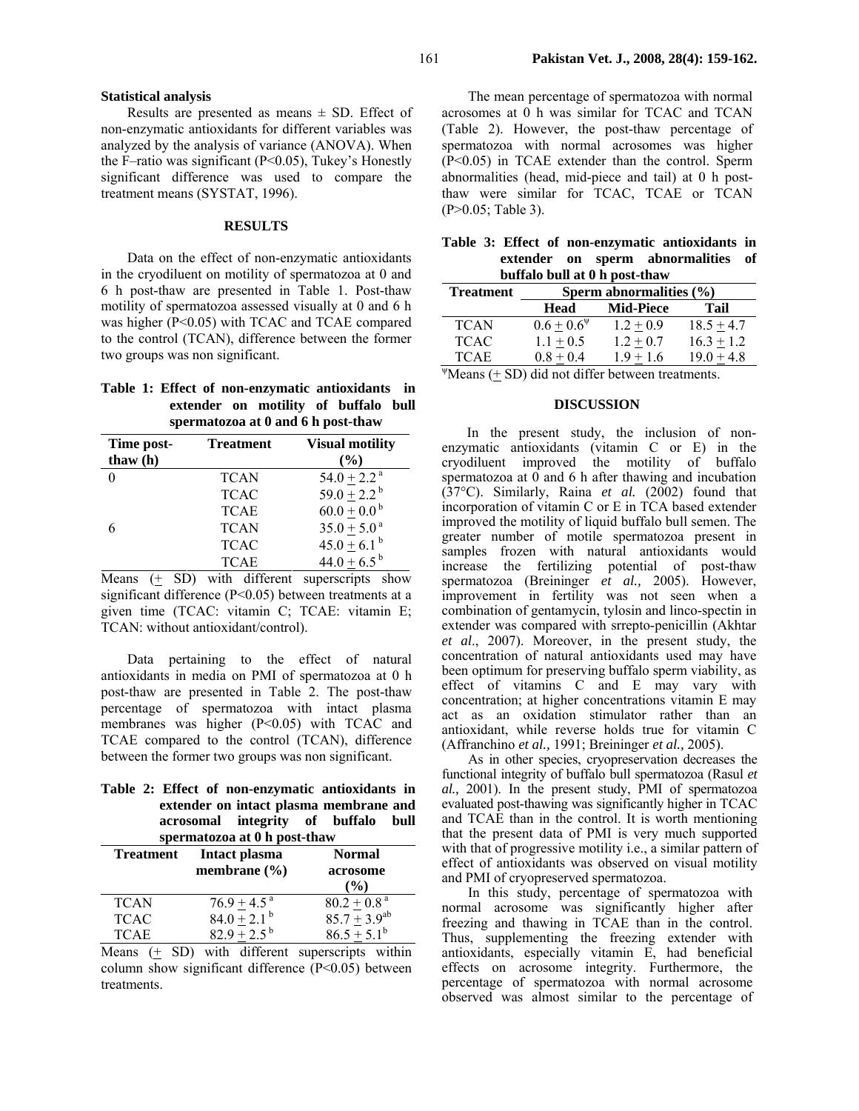#### **Statistical analysis**

Results are presented as means  $\pm$  SD. Effect of non-enzymatic antioxidants for different variables was analyzed by the analysis of variance (ANOVA). When the F–ratio was significant (P<0.05), Tukey's Honestly significant difference was used to compare the treatment means (SYSTAT, 1996).

#### **RESULTS**

Data on the effect of non-enzymatic antioxidants in the cryodiluent on motility of spermatozoa at 0 and 6 h post-thaw are presented in Table 1. Post-thaw motility of spermatozoa assessed visually at 0 and 6 h was higher (P<0.05) with TCAC and TCAE compared to the control (TCAN), difference between the former two groups was non significant.

# **Table 1: Effect of non-enzymatic antioxidants in extender on motility of buffalo bull spermatozoa at 0 and 6 h post-thaw**

| Time post-<br>thaw $(h)$ | <b>Treatment</b> | <b>Visual motility</b><br>$\frac{6}{6}$ |
|--------------------------|------------------|-----------------------------------------|
|                          | <b>TCAN</b>      | $54.0 + 2.2$ <sup>a</sup>               |
|                          | <b>TCAC</b>      | $59.0 + 2.2^b$                          |
|                          | <b>TCAE</b>      | $60.0 + 0.0^{b}$                        |
| 6                        | <b>TCAN</b>      | $35.0 + 5.0$ <sup>a</sup>               |
|                          | <b>TCAC</b>      | $45.0 \pm 6.1^{\circ}$                  |
|                          | <b>TCAE</b>      | $44.0 + 6.5^{b}$                        |

Means  $(+)$  SD) with different superscripts show significant difference (P<0.05) between treatments at a given time (TCAC: vitamin C; TCAE: vitamin E; TCAN: without antioxidant/control).

Data pertaining to the effect of natural antioxidants in media on PMI of spermatozoa at 0 h post-thaw are presented in Table 2. The post-thaw percentage of spermatozoa with intact plasma membranes was higher (P<0.05) with TCAC and TCAE compared to the control (TCAN), difference between the former two groups was non significant.

|  |  | Table 2: Effect of non-enzymatic antioxidants in |  |  |
|--|--|--------------------------------------------------|--|--|
|  |  | extender on intact plasma membrane and           |  |  |
|  |  | acrosomal integrity of buffalo bull              |  |  |
|  |  | comparatores of 0 h next them                    |  |  |

| spermatozoa at o ir post-thaw |                                   |                                     |  |  |  |  |
|-------------------------------|-----------------------------------|-------------------------------------|--|--|--|--|
| <b>Treatment</b>              | Intact plasma<br>membrane $(\% )$ | <b>Normal</b><br>acrosome<br>$($ %) |  |  |  |  |
| <b>TCAN</b>                   | $76.9 + 4.5^{\text{a}}$           | $80.2 + 0.8$ <sup>a</sup>           |  |  |  |  |
| <b>TCAC</b>                   | $84.0 + 2.1b$                     | $85.7 + 3.9^{ab}$                   |  |  |  |  |
| <b>TCAE</b>                   | $82.9 + 2.5^{b}$                  | $86.5 + 5.1^b$                      |  |  |  |  |

Means (+ SD) with different superscripts within column show significant difference (P<0.05) between treatments.

The mean percentage of spermatozoa with normal acrosomes at 0 h was similar for TCAC and TCAN (Table 2). However, the post-thaw percentage of spermatozoa with normal acrosomes was higher (P<0.05) in TCAE extender than the control. Sperm abnormalities (head, mid-piece and tail) at 0 h postthaw were similar for TCAC, TCAE or TCAN (P>0.05; Table 3).

|  |                               |  |  |  | Table 3: Effect of non-enzymatic antioxidants in |  |
|--|-------------------------------|--|--|--|--------------------------------------------------|--|
|  |                               |  |  |  | extender on sperm abnormalities of               |  |
|  | buffalo bull at 0 h post-thaw |  |  |  |                                                  |  |

| $5.000$ $0.0000$ $0.0000$ $0.0000$ $0.0000$ |                             |                                                                                                                 |              |  |  |  |  |
|---------------------------------------------|-----------------------------|-----------------------------------------------------------------------------------------------------------------|--------------|--|--|--|--|
| <b>Treatment</b>                            | Sperm abnormalities $(\% )$ |                                                                                                                 |              |  |  |  |  |
|                                             | Head                        | <b>Mid-Piece</b>                                                                                                | Tail         |  |  |  |  |
| <b>TCAN</b>                                 | $0.6 + 0.6^{\Psi}$          | $1.2 + 0.9$                                                                                                     | $18.5 + 4.7$ |  |  |  |  |
| <b>TCAC</b>                                 | $1.1 + 0.5$                 | $1.2 + 0.7$                                                                                                     | $16.3 + 1.2$ |  |  |  |  |
| <b>TCAE</b>                                 | $0.8 + 0.4$                 | $1.9 + 1.6$                                                                                                     | $19.0 + 4.8$ |  |  |  |  |
| $\mathbf{u}$                                |                             | the contract of the contract of the contract of the contract of the contract of the contract of the contract of |              |  |  |  |  |

 $\mathbb{P}$ Means ( $\pm$  SD) did not differ between treatments.

#### **DISCUSSION**

In the present study, the inclusion of nonenzymatic antioxidants (vitamin C or E) in the cryodiluent improved the motility of buffalo spermatozoa at 0 and 6 h after thawing and incubation (37°C). Similarly, Raina *et al.* (2002) found that incorporation of vitamin C or E in TCA based extender improved the motility of liquid buffalo bull semen. The greater number of motile spermatozoa present in samples frozen with natural antioxidants would increase the fertilizing potential of post-thaw spermatozoa (Breininger *et al.,* 2005). However, improvement in fertility was not seen when a combination of gentamycin, tylosin and linco-spectin in extender was compared with srrepto-penicillin (Akhtar *et al*., 2007). Moreover, in the present study, the concentration of natural antioxidants used may have been optimum for preserving buffalo sperm viability, as effect of vitamins C and E may vary with concentration; at higher concentrations vitamin E may act as an oxidation stimulator rather than an antioxidant, while reverse holds true for vitamin C (Affranchino *et al.,* 1991; Breininger *et al.,* 2005).

As in other species, cryopreservation decreases the functional integrity of buffalo bull spermatozoa (Rasul *et al.,* 2001). In the present study, PMI of spermatozoa evaluated post-thawing was significantly higher in TCAC and TCAE than in the control. It is worth mentioning that the present data of PMI is very much supported with that of progressive motility i.e., a similar pattern of effect of antioxidants was observed on visual motility and PMI of cryopreserved spermatozoa.

In this study, percentage of spermatozoa with normal acrosome was significantly higher after freezing and thawing in TCAE than in the control. Thus, supplementing the freezing extender with antioxidants, especially vitamin E, had beneficial effects on acrosome integrity. Furthermore, the percentage of spermatozoa with normal acrosome observed was almost similar to the percentage of